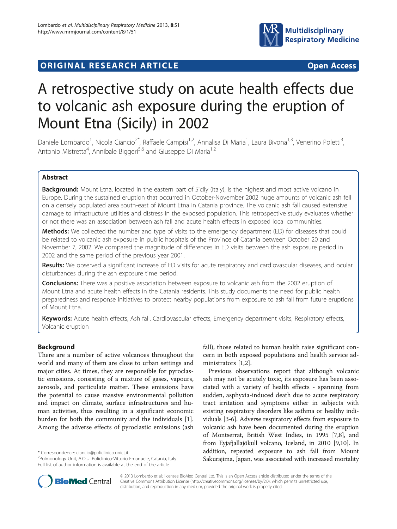

# **ORIGINAL RESEARCH ARTICLE CONSUMING ACCESS**

# A retrospective study on acute health effects due to volcanic ash exposure during the eruption of Mount Etna (Sicily) in 2002

Daniele Lombardo<sup>1</sup>, Nicola Ciancio<sup>2\*</sup>, Raffaele Campisi<sup>1,2</sup>, Annalisa Di Maria<sup>1</sup>, Laura Bivona<sup>1,3</sup>, Venerino Poletti<sup>3</sup> , Antonio Mistretta<sup>4</sup>, Annibale Biggeri<sup>5,6</sup> and Giuseppe Di Maria<sup>1,2</sup>

# Abstract

Background: Mount Etna, located in the eastern part of Sicily (Italy), is the highest and most active volcano in Europe. During the sustained eruption that occurred in October-November 2002 huge amounts of volcanic ash fell on a densely populated area south-east of Mount Etna in Catania province. The volcanic ash fall caused extensive damage to infrastructure utilities and distress in the exposed population. This retrospective study evaluates whether or not there was an association between ash fall and acute health effects in exposed local communities.

Methods: We collected the number and type of visits to the emergency department (ED) for diseases that could be related to volcanic ash exposure in public hospitals of the Province of Catania between October 20 and November 7, 2002. We compared the magnitude of differences in ED visits between the ash exposure period in 2002 and the same period of the previous year 2001.

Results: We observed a significant increase of ED visits for acute respiratory and cardiovascular diseases, and ocular disturbances during the ash exposure time period.

**Conclusions:** There was a positive association between exposure to volcanic ash from the 2002 eruption of Mount Etna and acute health effects in the Catania residents. This study documents the need for public health preparedness and response initiatives to protect nearby populations from exposure to ash fall from future eruptions of Mount Etna.

Keywords: Acute health effects, Ash fall, Cardiovascular effects, Emergency department visits, Respiratory effects, Volcanic eruption

# Background

There are a number of active volcanoes throughout the world and many of them are close to urban settings and major cities. At times, they are responsible for pyroclastic emissions, consisting of a mixture of gases, vapours, aerosols, and particulate matter. These emissions have the potential to cause massive environmental pollution and impact on climate, surface infrastructures and human activities, thus resulting in a significant economic burden for both the community and the individuals [\[1](#page-6-0)]. Among the adverse effects of pyroclastic emissions (ash

\* Correspondence: [ciancio@policlinico.unict.it](mailto:ciancio@policlinico.unict.it) <sup>2</sup>

fall), those related to human health raise significant concern in both exposed populations and health service administrators [\[1,2](#page-6-0)].

Previous observations report that although volcanic ash may not be acutely toxic, its exposure has been associated with a variety of health effects - spanning from sudden, asphyxia-induced death due to acute respiratory tract irritation and symptoms either in subjects with existing respiratory disorders like asthma or healthy individuals [\[3](#page-6-0)-[6](#page-6-0)]. Adverse respiratory effects from exposure to volcanic ash have been documented during the eruption of Montserrat, British West Indies, in 1995 [\[7,8](#page-6-0)], and from Eyjafjallajökull volcano, Iceland, in 2010 [[9](#page-6-0),[10](#page-6-0)]. In addition, repeated exposure to ash fall from Mount Sakurajima, Japan, was associated with increased mortality



© 2013 Lombardo et al.; licensee BioMed Central Ltd. This is an Open Access article distributed under the terms of the Creative Commons Attribution License (<http://creativecommons.org/licenses/by/2.0>), which permits unrestricted use, distribution, and reproduction in any medium, provided the original work is properly cited.

<sup>&</sup>lt;sup>2</sup>Pulmonology Unit, A.O.U. Policlinico-Vittorio Emanuele, Catania, Italy Full list of author information is available at the end of the article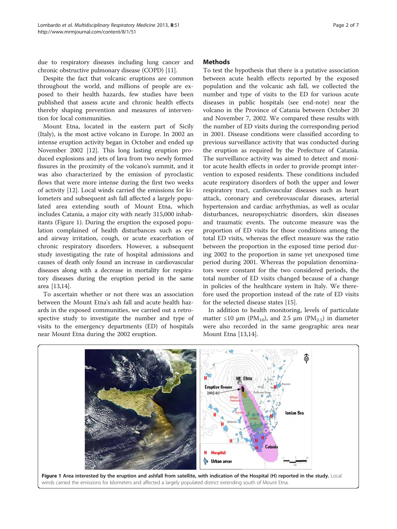<span id="page-1-0"></span>due to respiratory diseases including lung cancer and chronic obstructive pulmonary disease (COPD) [\[11\]](#page-6-0).

Despite the fact that volcanic eruptions are common throughout the world, and millions of people are exposed to their health hazards, few studies have been published that assess acute and chronic health effects thereby shaping prevention and measures of intervention for local communities.

Mount Etna, located in the eastern part of Sicily (Italy), is the most active volcano in Europe. In 2002 an intense eruption activity began in October and ended up November 2002 [\[12](#page-6-0)]. This long lasting eruption produced explosions and jets of lava from two newly formed fissures in the proximity of the volcano's summit, and it was also characterized by the emission of pyroclastic flows that were more intense during the first two weeks of activity [\[12](#page-6-0)]. Local winds carried the emissions for kilometers and subsequent ash fall affected a largely populated area extending south of Mount Etna, which includes Catania, a major city with nearly 315,000 inhabitants (Figure 1). During the eruption the exposed population complained of health disturbances such as eye and airway irritation, cough, or acute exacerbation of chronic respiratory disorders. However, a subsequent study investigating the rate of hospital admissions and causes of death only found an increase in cardiovascular diseases along with a decrease in mortality for respiratory diseases during the eruption period in the same area [\[13,14](#page-6-0)].

To ascertain whether or not there was an association between the Mount Etna's ash fall and acute health hazards in the exposed communities, we carried out a retrospective study to investigate the number and type of visits to the emergency departments (ED) of hospitals near Mount Etna during the 2002 eruption.

# **Methods**

To test the hypothesis that there is a putative association between acute health effects reported by the exposed population and the volcanic ash fall, we collected the number and type of visits to the ED for various acute diseases in public hospitals (see end-note) near the volcano in the Province of Catania between October 20 and November 7, 2002. We compared these results with the number of ED visits during the corresponding period in 2001. Disease conditions were classified according to previous surveillance activity that was conducted during the eruption as required by the Prefecture of Catania. The surveillance activity was aimed to detect and monitor acute health effects in order to provide prompt intervention to exposed residents. These conditions included acute respiratory disorders of both the upper and lower respiratory tract, cardiovascular diseases such as heart attack, coronary and cerebrovascular diseases, arterial hypertension and cardiac arrhythmias, as well as ocular disturbances, neuropsychiatric disorders, skin diseases and traumatic events. The outcome measure was the proportion of ED visits for those conditions among the total ED visits, whereas the effect measure was the ratio between the proportion in the exposed time period during 2002 to the proportion in same yet unexposed time period during 2001. Whereas the population denominators were constant for the two considered periods, the total number of ED visits changed because of a change in policies of the healthcare system in Italy. We therefore used the proportion instead of the rate of ED visits for the selected disease states [[15\]](#page-6-0).

In addition to health monitoring, levels of particulate matter ≤10  $\mu$ m (PM<sub>10</sub>), and 2.5  $\mu$ m (PM<sub>2.5</sub>) in diameter were also recorded in the same geographic area near Mount Etna [\[13,14](#page-6-0)].

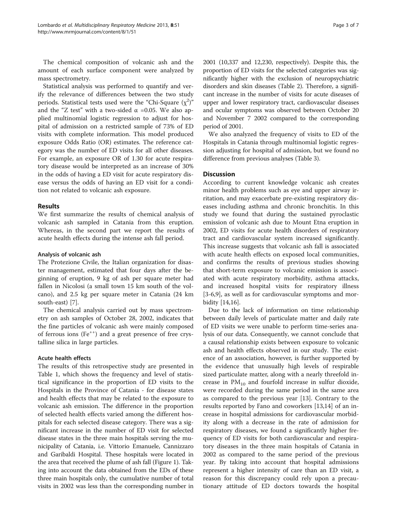The chemical composition of volcanic ash and the amount of each surface component were analyzed by mass spectrometry.

Statistical analysis was performed to quantify and verify the relevance of differences between the two study periods. Statistical tests used were the "Chi-Square  $(\chi^2)$ " and the "Z test" with a two-sided  $\alpha$  =0.05. We also applied multinomial logistic regression to adjust for hospital of admission on a restricted sample of 73% of ED visits with complete information. This model produced exposure Odds Ratio (OR) estimates. The reference category was the number of ED visits for all other diseases. For example, an exposure OR of 1.30 for acute respiratory disease would be interpreted as an increase of 30% in the odds of having a ED visit for acute respiratory disease versus the odds of having an ED visit for a condition not related to volcanic ash exposure.

# Results

We first summarize the results of chemical analysis of volcanic ash sampled in Catania from this eruption. Whereas, in the second part we report the results of acute health effects during the intense ash fall period.

# Analysis of volcanic ash

The Protezione Civile, the Italian organization for disaster management, estimated that four days after the beginning of eruption, 9 kg of ash per square meter had fallen in Nicolosi (a small town 15 km south of the volcano), and 2.5 kg per square meter in Catania (24 km south-east) [\[7](#page-6-0)].

The chemical analysis carried out by mass spectrometry on ash samples of October 28, 2002, indicates that the fine particles of volcanic ash were mainly composed of ferrous ions  $(Fe^{++})$  and a great presence of free crystalline silica in large particles.

# Acute health effects

The results of this retrospective study are presented in Table [1,](#page-3-0) which shows the frequency and level of statistical significance in the proportion of ED visits to the Hospitals in the Province of Catania - for disease states and health effects that may be related to the exposure to volcanic ash emission. The difference in the proportion of selected health effects varied among the different hospitals for each selected disease category. There was a significant increase in the number of ED visit for selected disease states in the three main hospitals serving the municipality of Catania, i.e. Vittorio Emanuele, Cannizzaro and Garibaldi Hospital. These hospitals were located in the area that received the plume of ash fall (Figure [1\)](#page-1-0). Taking into account the data obtained from the EDs of these three main hospitals only, the cumulative number of total visits in 2002 was less than the corresponding number in 2001 (10,337 and 12,230, respectively). Despite this, the proportion of ED visits for the selected categories was significantly higher with the exclusion of neuropsychiatric disorders and skin diseases (Table [2](#page-4-0)). Therefore, a significant increase in the number of visits for acute diseases of upper and lower respiratory tract, cardiovascular diseases and ocular symptoms was observed between October 20 and November 7 2002 compared to the corresponding period of 2001.

We also analyzed the frequency of visits to ED of the Hospitals in Catania through multinomial logistic regression adjusting for hospital of admission, but we found no difference from previous analyses (Table [3\)](#page-4-0).

# **Discussion**

According to current knowledge volcanic ash creates minor health problems such as eye and upper airway irritation, and may exacerbate pre-existing respiratory diseases including asthma and chronic bronchitis. In this study we found that during the sustained pyroclastic emission of volcanic ash due to Mount Etna eruption in 2002, ED visits for acute health disorders of respiratory tract and cardiovascular system increased significantly. This increase suggests that volcanic ash fall is associated with acute health effects on exposed local communities, and confirms the results of previous studies showing that short-term exposure to volcanic emission is associated with acute respiratory morbidity, asthma attacks, and increased hospital visits for respiratory illness [[3-6,9](#page-6-0)], as well as for cardiovascular symptoms and morbidity [[14,16\]](#page-6-0).

Due to the lack of information on time relationship between daily levels of particulate matter and daily rate of ED visits we were unable to perform time-series analysis of our data. Consequently, we cannot conclude that a causal relationship exists between exposure to volcanic ash and health effects observed in our study. The existence of an association, however, is further supported by the evidence that unusually high levels of respirable sized particulate matter, along with a nearly threefold increase in  $PM_{10}$  and fourfold increase in sulfur dioxide, were recorded during the same period in the same area as compared to the previous year [[13](#page-6-0)]. Contrary to the results reported by Fano and coworkers [[13,14\]](#page-6-0) of an increase in hospital admissions for cardiovascular morbidity along with a decrease in the rate of admission for respiratory diseases, we found a significantly higher frequency of ED visits for both cardiovascular and respiratory diseases in the three main hospitals of Catania in 2002 as compared to the same period of the previous year. By taking into account that hospital admissions represent a higher intensity of care than an ED visit, a reason for this discrepancy could rely upon a precautionary attitude of ED doctors towards the hospital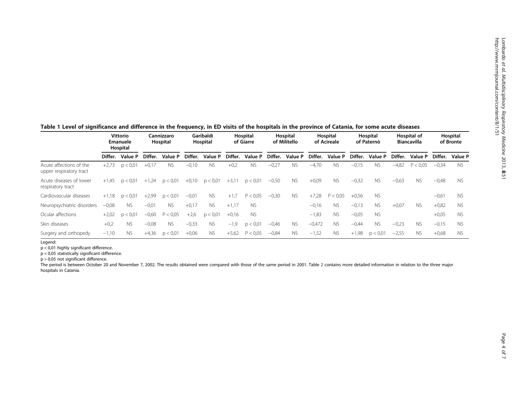#### <span id="page-3-0"></span>Table 1 Level of significance and difference in the frequency, in ED visits of the hospitals in the province of Catania, for some acute diseases Vittorio Emanuele Hospital Cannizzaro Hospital Garibaldi Hospital **Hospital** of Giarre Hospital of Militello **Hospital** of Acireale **Hospital** of Paternò Hospital of Biancavilla **Hospital** of Bronte Differ. Value P Differ. Value P Differ. Value P Differ. Value P Differ. Value P Differ. Value P Differ. Value P Differ. Value P Differ. Value P Acute affections of the upper respiratory tract +2,73 p < 0,01 +0,17 NS −0,10 NS +0,2 NS −0,27 NS −4,70 NS −0,15 NS −4,82 P < 0,05 −0,34 NS Acute diseases of lower respiratory tract +1,45 p < 0,01 +1,24 p < 0,01 +0,10 p < 0,01 +3,11 p < 0,01 −0,50 NS +0,09 NS −0,32 NS −0,63 NS −0,48 NS Cardiovascular diseases +1,18 p < 0,01 +2,99 p < 0,01 −0,01 NS +1,7 P < 0,05 −0,30 NS +7,28 P < 0,05 +0,56 NS −0,61 NS Neuropsychiatric disorders −0,08 NS −0,01 NS +0,17 NS +1,17 NS −0,16 NS −0,13 NS +0,07 NS +0,82 NS Ocular affections +2,02 p < 0,01 −0,60 P < 0,05 +2,6 p < 0,01 +0,16 NS −1,83 NS −0,05 NS +0,05 NS Skin diseases +0,2 NS −0,08 NS −0,33 NS −1,9 p < 0,01 −0,46 NS −0,472 NS −0,44 NS −0,23 NS −0,15 NS Surgery and orthopedy -1,10 NS +4,36 p < 0,01 +0,06 NS +5,62 P < 0,05 -0,84 NS -1,52 NS +1,98 p < 0,01 -2,55 NS +0,68 NS

Legend:

p < 0,01 highly significant difference.

p < 0,05 statistically significant difference.

p > 0,05 not significant difference.

The period is between October 20 and November 7, 2002. The results obtained were compared with those of the same period in 2001. Table [2](#page-4-0) contains more detailed information in relation to the three major hospitals in Catania.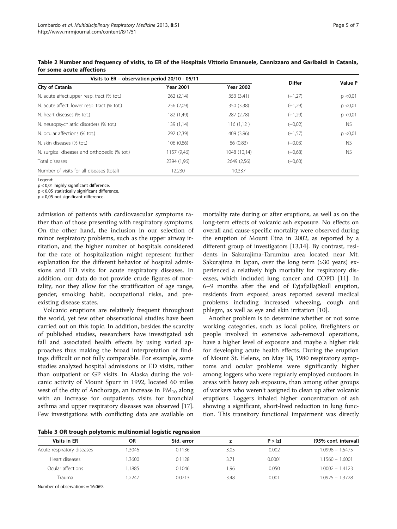| Visits to ER - observation period 20/10 - 05/11 |                  |                  | <b>Differ</b> | Value P   |
|-------------------------------------------------|------------------|------------------|---------------|-----------|
| City of Catania                                 | <b>Year 2001</b> | <b>Year 2002</b> |               |           |
| N. acute affect.upper resp. tract (% tot.)      | 262(2,14)        | 353 (3.41)       | $(+1,27)$     | p < 0.01  |
| N. acute affect. lower resp. tract (% tot.)     | 256 (2,09)       | 350 (3,38)       | $(+1,29)$     | p < 0.01  |
| N. heart diseases (% tot.)                      | 182 (1,49)       | 287 (2,78)       | $(+1,29)$     | p < 0.01  |
| N. neuropsychiatric disorders (% tot.)          | 139 (1,14)       | 116(1,12)        | $(-0.02)$     | NS.       |
| N. ocular affections (% tot.)                   | 292 (2,39)       | 409 (3,96)       | $(+1,57)$     | p < 0.01  |
| N. skin diseases (% tot.)                       | 106 (0,86)       | 86 (0,83)        | $(-0.03)$     | <b>NS</b> |
| N. surgical diseases and orthopedic (% tot.)    | 1157 (9,46)      | 1048 (10,14)     | $(+0.68)$     | <b>NS</b> |
| Total diseases                                  | 2394 (1,96)      | 2649 (2,56)      | $(+0.60)$     |           |
| Number of visits for all diseases (total)       | 12.230           | 10.337           |               |           |

<span id="page-4-0"></span>Table 2 Number and frequency of visits, to ER of the Hospitals Vittorio Emanuele, Cannizzaro and Garibaldi in Catania, for some acute affections

Legend:

p < 0,01 highly significant difference.

p < 0,05 statistically significant difference.

p > 0,05 not significant difference.

admission of patients with cardiovascular symptoms rather than of those presenting with respiratory symptoms. On the other hand, the inclusion in our selection of minor respiratory problems, such as the upper airway irritation, and the higher number of hospitals considered for the rate of hospitalization might represent further explanation for the different behavior of hospital admissions and ED visits for acute respiratory diseases. In addition, our data do not provide crude figures of mortality, nor they allow for the stratification of age range, gender, smoking habit, occupational risks, and preexisting disease states.

Volcanic eruptions are relatively frequent throughout the world, yet few other observational studies have been carried out on this topic. In addition, besides the scarcity of published studies, researchers have investigated ash fall and associated health effects by using varied approaches thus making the broad interpretation of findings difficult or not fully comparable. For example, some studies analyzed hospital admissions or ED visits, rather than outpatient or GP visits. In Alaska during the volcanic activity of Mount Spurr in 1992, located 60 miles west of the city of Anchorage, an increase in  $PM_{10}$  along with an increase for outpatients visits for bronchial asthma and upper respiratory diseases was observed [[17](#page-6-0)]. Few investigations with conflicting data are available on

mortality rate during or after eruptions, as well as on the long-term effects of volcanic ash exposure. No effects on overall and cause-specific mortality were observed during the eruption of Mount Etna in 2002, as reported by a different group of investigators [\[13,14\]](#page-6-0). By contrast, residents in Sakurajima-Tarumizu area located near Mt. Sakurajima in Japan, over the long term (>30 years) experienced a relatively high mortality for respiratory diseases, which included lung cancer and COPD [\[11\]](#page-6-0). In 6–9 months after the end of Eyjafjallajökull eruption, residents from exposed areas reported several medical problems including increased wheezing, cough and phlegm, as well as eye and skin irritation [[10](#page-6-0)].

Another problem is to determine whether or not some working categories, such as local police, firefighters or people involved in extensive ash-removal operations, have a higher level of exposure and maybe a higher risk for developing acute health effects. During the eruption of Mount St. Helens, on May 18, 1980 respiratory symptoms and ocular problems were significantly higher among loggers who were regularly employed outdoors in areas with heavy ash exposure, than among other groups of workers who weren't assigned to clean up after volcanic eruptions. Loggers inhaled higher concentration of ash showing a significant, short-lived reduction in lung function. This transitory functional impairment was directly

Table 3 OR trough polytomic multinomial logistic regression

| ΟR     | Std. error |      | P > [z] | [95% conf. interval] |
|--------|------------|------|---------|----------------------|
| 1.3046 | 0.1136     | 3.05 | 0.002   | $1.0998 - 1.5475$    |
| 1.3600 | 0.1128     | 3.71 | 0.0001  | $1.1560 - 1.6001$    |
| 1.1885 | 0.1046     | 1.96 | 0.050   | $1.0002 - 1.4123$    |
| 1.2247 | 0.0713     | 3.48 | 0.001   | $1.0925 - 1.3728$    |
|        |            |      |         |                      |

Number of observations = 16.069.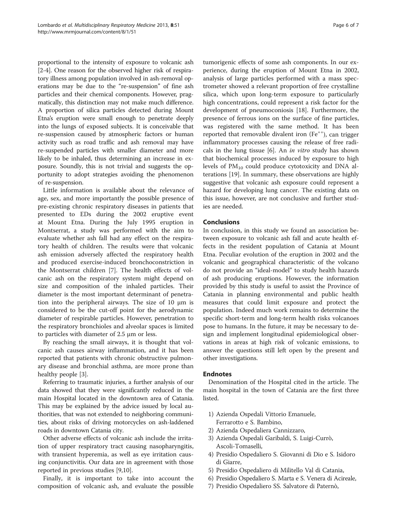proportional to the intensity of exposure to volcanic ash [[2-4\]](#page-6-0). One reason for the observed higher risk of respiratory illness among population involved in ash-removal operations may be due to the "re-suspension" of fine ash particles and their chemical components. However, pragmatically, this distinction may not make much difference. A proportion of silica particles detected during Mount Etna's eruption were small enough to penetrate deeply into the lungs of exposed subjects. It is conceivable that re-suspension caused by atmospheric factors or human activity such as road traffic and ash removal may have re-suspended particles with smaller diameter and more likely to be inhaled, thus determining an increase in exposure. Soundly, this is not trivial and suggests the opportunity to adopt strategies avoiding the phenomenon of re-suspension.

Little information is available about the relevance of age, sex, and more importantly the possible presence of pre-existing chronic respiratory diseases in patients that presented to EDs during the 2002 eruptive event at Mount Etna. During the July 1995 eruption in Montserrat, a study was performed with the aim to evaluate whether ash fall had any effect on the respiratory health of children. The results were that volcanic ash emission adversely affected the respiratory health and produced exercise-induced bronchoconstriction in the Montserrat children [\[7\]](#page-6-0). The health effects of volcanic ash on the respiratory system might depend on size and composition of the inhaled particles. Their diameter is the most important determinant of penetration into the peripheral airways. The size of 10 μm is considered to be the cut-off point for the aerodynamic diameter of respirable particles. However, penetration to the respiratory bronchioles and alveolar spaces is limited to particles with diameter of 2.5 μm or less.

By reaching the small airways, it is thought that volcanic ash causes airway inflammation, and it has been reported that patients with chronic obstructive pulmonary disease and bronchial asthma, are more prone than healthy people [\[3](#page-6-0)].

Referring to traumatic injuries, a further analysis of our data showed that they were significantly reduced in the main Hospital located in the downtown area of Catania. This may be explained by the advice issued by local authorities, that was not extended to neighboring communities, about risks of driving motorcycles on ash-laddened roads in downtown Catania city.

Other adverse effects of volcanic ash include the irritation of upper respiratory tract causing nasopharyngitis, with transient hyperemia, as well as eye irritation causing conjunctivitis. Our data are in agreement with those reported in previous studies [\[9,10](#page-6-0)].

Finally, it is important to take into account the composition of volcanic ash, and evaluate the possible

tumorigenic effects of some ash components. In our experience, during the eruption of Mount Etna in 2002, analysis of large particles performed with a mass spectrometer showed a relevant proportion of free crystalline silica, which upon long-term exposure to particularly high concentrations, could represent a risk factor for the development of pneumoconiosis [[18\]](#page-6-0). Furthermore, the presence of ferrous ions on the surface of fine particles, was registered with the same method. It has been reported that removable divalent iron (Fe<sup>++</sup>), can trigger inflammatory processes causing the release of free radicals in the lung tissue [\[6](#page-6-0)]. An in vitro study has shown that biochemical processes induced by exposure to high levels of  $PM_{10}$  could produce cytotoxicity and DNA alterations [[19](#page-6-0)]. In summary, these observations are highly suggestive that volcanic ash exposure could represent a hazard for developing lung cancer. The existing data on this issue, however, are not conclusive and further studies are needed.

# Conclusions

In conclusion, in this study we found an association between exposure to volcanic ash fall and acute health effects in the resident population of Catania at Mount Etna. Peculiar evolution of the eruption in 2002 and the volcanic and geographical characteristic of the volcano do not provide an "ideal-model" to study health hazards of ash producing eruptions. However, the information provided by this study is useful to assist the Province of Catania in planning environmental and public health measures that could limit exposure and protect the population. Indeed much work remains to determine the specific short-term and long-term health risks volcanoes pose to humans. In the future, it may be necessary to design and implement longitudinal epidemiological observations in areas at high risk of volcanic emissions, to answer the questions still left open by the present and other investigations.

# Endnotes

Denomination of the Hospital cited in the article. The main hospital in the town of Catania are the first three listed.

- 1) Azienda Ospedali Vittorio Emanuele, Ferrarotto e S. Bambino,
- 2) Azienda Ospedaliera Cannizzaro,
- 3) Azienda Ospedali Garibaldi, S. Luigi-Currò, Ascoli-Tomaselli,
- 4) Presidio Ospedaliero S. Giovanni di Dio e S. Isidoro di Giarre,
- 5) Presidio Ospedaliero di Militello Val di Catania,
- 6) Presidio Ospedaliero S. Marta e S. Venera di Acireale,
- 7) Presidio Ospedaliero SS. Salvatore di Paternò,